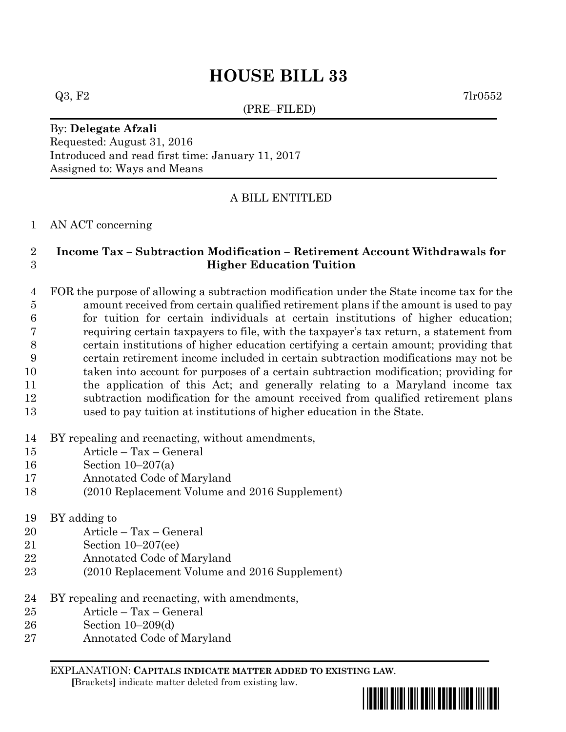# **HOUSE BILL 33**

(PRE–FILED)

 $Q3, F2$  7lr0552

# By: **Delegate Afzali** Requested: August 31, 2016 Introduced and read first time: January 11, 2017 Assigned to: Ways and Means

# A BILL ENTITLED

### AN ACT concerning

# **Income Tax – Subtraction Modification – Retirement Account Withdrawals for Higher Education Tuition**

 FOR the purpose of allowing a subtraction modification under the State income tax for the amount received from certain qualified retirement plans if the amount is used to pay for tuition for certain individuals at certain institutions of higher education; requiring certain taxpayers to file, with the taxpayer's tax return, a statement from certain institutions of higher education certifying a certain amount; providing that certain retirement income included in certain subtraction modifications may not be taken into account for purposes of a certain subtraction modification; providing for the application of this Act; and generally relating to a Maryland income tax subtraction modification for the amount received from qualified retirement plans used to pay tuition at institutions of higher education in the State.

### BY repealing and reenacting, without amendments,

- Article Tax General
- Section 10–207(a)
- Annotated Code of Maryland
- (2010 Replacement Volume and 2016 Supplement)
- BY adding to
- Article Tax General
- Section 10–207(ee)
- Annotated Code of Maryland
- (2010 Replacement Volume and 2016 Supplement)
- BY repealing and reenacting, with amendments,
- Article Tax General
- Section 10–209(d)
- Annotated Code of Maryland

EXPLANATION: **CAPITALS INDICATE MATTER ADDED TO EXISTING LAW**.  **[**Brackets**]** indicate matter deleted from existing law.

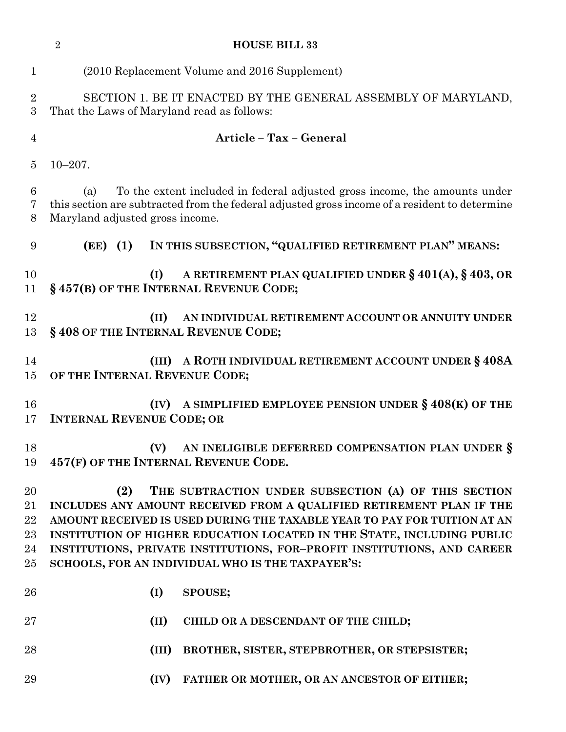|                                  | $\overline{2}$<br><b>HOUSE BILL 33</b>                                                                                                                                                                                                                                                                                                                                                                                    |  |
|----------------------------------|---------------------------------------------------------------------------------------------------------------------------------------------------------------------------------------------------------------------------------------------------------------------------------------------------------------------------------------------------------------------------------------------------------------------------|--|
| $\mathbf{1}$                     | (2010 Replacement Volume and 2016 Supplement)                                                                                                                                                                                                                                                                                                                                                                             |  |
| $\overline{2}$<br>3              | SECTION 1. BE IT ENACTED BY THE GENERAL ASSEMBLY OF MARYLAND,<br>That the Laws of Maryland read as follows:                                                                                                                                                                                                                                                                                                               |  |
| $\overline{4}$                   | Article - Tax - General                                                                                                                                                                                                                                                                                                                                                                                                   |  |
| 5                                | $10 - 207$ .                                                                                                                                                                                                                                                                                                                                                                                                              |  |
| 6<br>7<br>8                      | To the extent included in federal adjusted gross income, the amounts under<br>(a)<br>this section are subtracted from the federal adjusted gross income of a resident to determine<br>Maryland adjusted gross income.                                                                                                                                                                                                     |  |
| 9                                | (EE) (1) IN THIS SUBSECTION, "QUALIFIED RETIREMENT PLAN" MEANS:                                                                                                                                                                                                                                                                                                                                                           |  |
| 10<br>11                         | A RETIREMENT PLAN QUALIFIED UNDER $\S 401(A), \S 403, \text{OR}$<br>(I)<br>§457(B) OF THE INTERNAL REVENUE CODE;                                                                                                                                                                                                                                                                                                          |  |
| 12<br>13                         | (II)<br>AN INDIVIDUAL RETIREMENT ACCOUNT OR ANNUITY UNDER<br>§408 OF THE INTERNAL REVENUE CODE;                                                                                                                                                                                                                                                                                                                           |  |
| 14<br>15                         | (III) A ROTH INDIVIDUAL RETIREMENT ACCOUNT UNDER § 408A<br>OF THE INTERNAL REVENUE CODE;                                                                                                                                                                                                                                                                                                                                  |  |
| 16<br>17                         | A SIMPLIFIED EMPLOYEE PENSION UNDER $\S 408(K)$ OF THE<br>(IV)<br><b>INTERNAL REVENUE CODE; OR</b>                                                                                                                                                                                                                                                                                                                        |  |
| 18<br>19                         | AN INELIGIBLE DEFERRED COMPENSATION PLAN UNDER §<br>(V)<br>457(F) OF THE INTERNAL REVENUE CODE.                                                                                                                                                                                                                                                                                                                           |  |
| 20<br>21<br>22<br>23<br>24<br>25 | THE SUBTRACTION UNDER SUBSECTION (A) OF THIS SECTION<br>(2)<br>INCLUDES ANY AMOUNT RECEIVED FROM A QUALIFIED RETIREMENT PLAN IF THE<br>AMOUNT RECEIVED IS USED DURING THE TAXABLE YEAR TO PAY FOR TUITION AT AN<br>INSTITUTION OF HIGHER EDUCATION LOCATED IN THE STATE, INCLUDING PUBLIC<br>INSTITUTIONS, PRIVATE INSTITUTIONS, FOR-PROFIT INSTITUTIONS, AND CAREER<br>SCHOOLS, FOR AN INDIVIDUAL WHO IS THE TAXPAYER'S: |  |
| 26                               | (I)<br>SPOUSE;                                                                                                                                                                                                                                                                                                                                                                                                            |  |
| $27\,$                           | (II)<br>CHILD OR A DESCENDANT OF THE CHILD;                                                                                                                                                                                                                                                                                                                                                                               |  |
| 28                               | (III)<br>BROTHER, SISTER, STEPBROTHER, OR STEPSISTER;                                                                                                                                                                                                                                                                                                                                                                     |  |
| 29                               | (IV)<br>FATHER OR MOTHER, OR AN ANCESTOR OF EITHER;                                                                                                                                                                                                                                                                                                                                                                       |  |